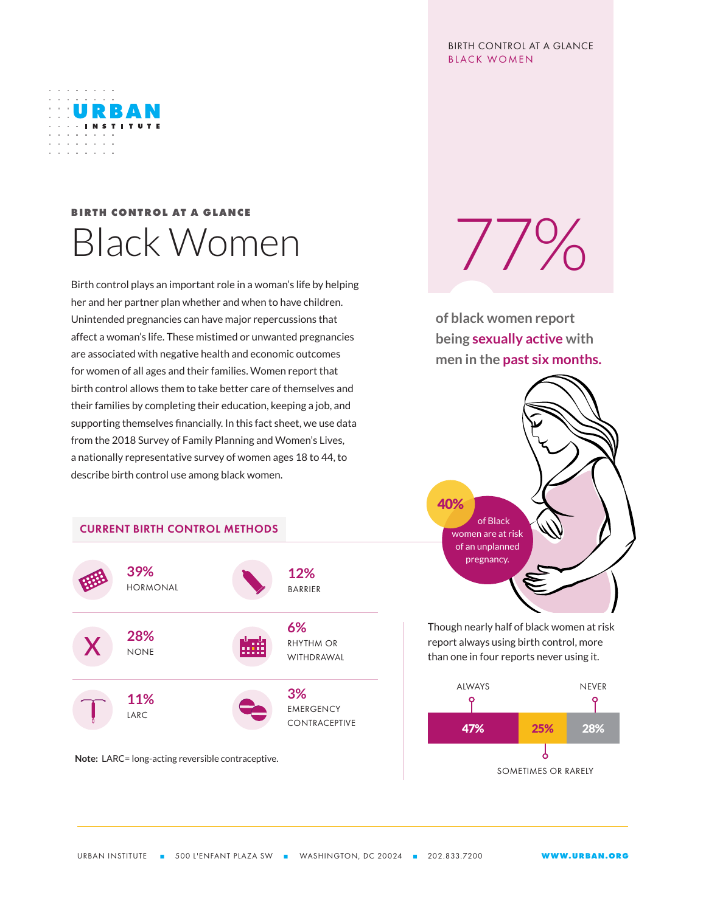## BIRTH CONTROL AT A GLANCE BLACK WOMEN



## **BIRTH CONTROL AT A GLANCE** Black Women

Birth control plays an important role in a woman's life by helping her and her partner plan whether and when to have children. Unintended pregnancies can have major repercussions that affect a woman's life. These mistimed or unwanted pregnancies are associated with negative health and economic outcomes for women of all ages and their families. Women report that birth control allows them to take better care of themselves and their families by completing their education, keeping a job, and supporting themselves financially. In this fact sheet, we use data from the 2018 Survey of Family Planning and Women's Lives, a nationally representative survey of women ages 18 to 44, to describe birth control use among black women.







 $77%$ 

**of black women report being sexually active with men in the past six months.**



Though nearly half of black women at risk report always using birth control, more than one in four reports never using it.